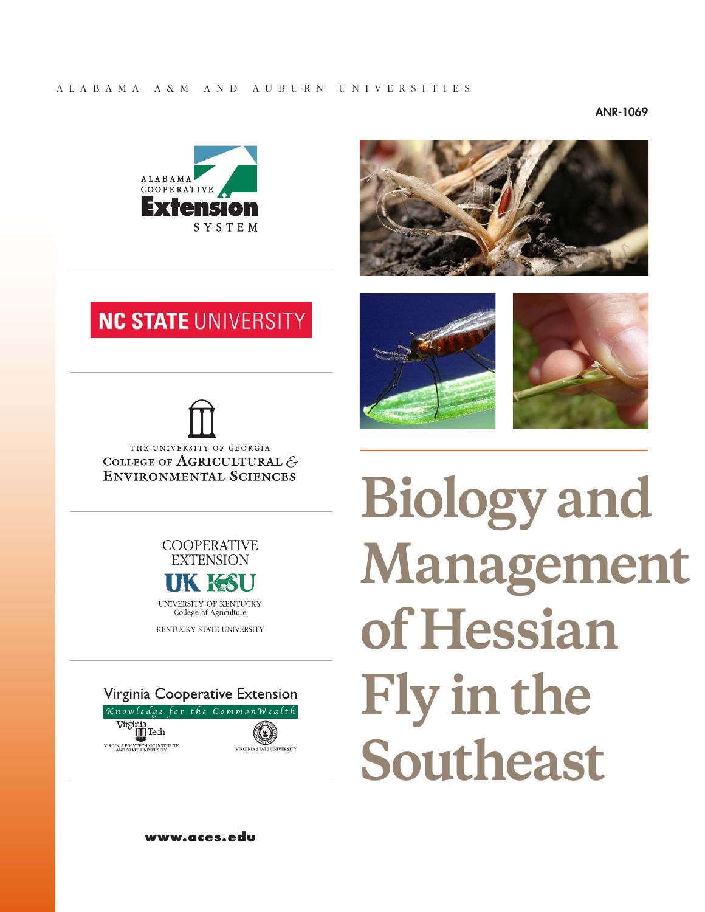#### ANR-1069





# **NC STATE UNIVERSITY**

THE UNIVERSITY OF GEORGIA COLLEGE OF AGRICULTURAL  $\mathcal{E}$ **ENVIRONMENTAL SCIENCES** 

> **COOPERATIVE EXTENSION**



UNIVERSITY OF KENTUCKY<br>College of Agriculture

KENTUCKY STATE UNIVERSITY







**Biology and Management of Hessian Fly in the Southeast**

**<www.aces.edu>**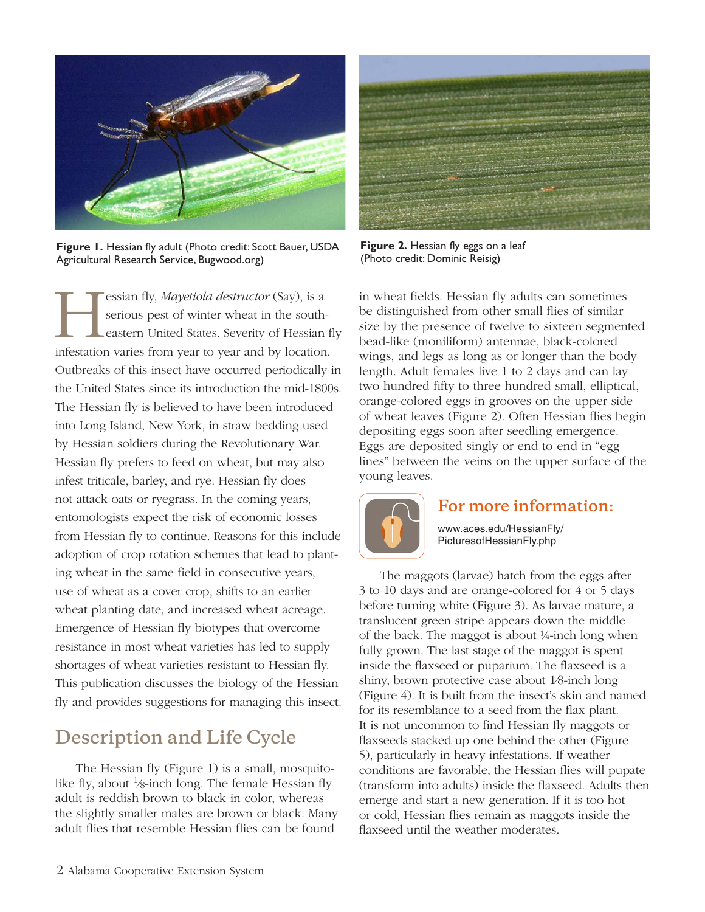

**Figure 1.** Hessian fly adult (Photo credit: Scott Bauer, USDA Agricultural Research Service,<Bugwood.org>)

Election fly, *Mayetiola destructor* (Say), is a<br>serious pest of winter wheat in the south-<br>eastern United States. Severity of Hessian<br>infestation varies from year to year and by location serious pest of winter wheat in the southeastern United States. Severity of Hessian fly infestation varies from year to year and by location. Outbreaks of this insect have occurred periodically in the United States since its introduction the mid-1800s. The Hessian fly is believed to have been introduced into Long Island, New York, in straw bedding used by Hessian soldiers during the Revolutionary War. Hessian fly prefers to feed on wheat, but may also infest triticale, barley, and rye. Hessian fly does not attack oats or ryegrass. In the coming years, entomologists expect the risk of economic losses from Hessian fly to continue. Reasons for this include adoption of crop rotation schemes that lead to planting wheat in the same field in consecutive years, use of wheat as a cover crop, shifts to an earlier wheat planting date, and increased wheat acreage. Emergence of Hessian fly biotypes that overcome resistance in most wheat varieties has led to supply shortages of wheat varieties resistant to Hessian fly. This publication discusses the biology of the Hessian fly and provides suggestions for managing this insect.

## **Description and Life Cycle**

The Hessian fly (Figure 1) is a small, mosquitolike fly, about  $\frac{1}{8}$ -inch long. The female Hessian fly adult is reddish brown to black in color, whereas the slightly smaller males are brown or black. Many adult flies that resemble Hessian flies can be found



**Figure 2.** Hessian fly eggs on a leaf (Photo credit: Dominic Reisig)

in wheat fields. Hessian fly adults can sometimes be distinguished from other small flies of similar size by the presence of twelve to sixteen segmented bead-like (moniliform) antennae, black-colored wings, and legs as long as or longer than the body length. Adult females live 1 to 2 days and can lay two hundred fifty to three hundred small, elliptical, orange-colored eggs in grooves on the upper side of wheat leaves (Figure 2). Often Hessian flies begin depositing eggs soon after seedling emergence. Eggs are deposited singly or end to end in "egg lines" between the veins on the upper surface of the young leaves.



## **For more information:**

[www.aces.edu/HessianFly/](www.aces.edu/HessianFly/PicturesofHessianFly.php) [PicturesofHessianFly.php](www.aces.edu/HessianFly/PicturesofHessianFly.php)

The maggots (larvae) hatch from the eggs after 3 to 10 days and are orange-colored for 4 or 5 days before turning white (Figure 3). As larvae mature, a translucent green stripe appears down the middle of the back. The maggot is about ¼-inch long when fully grown. The last stage of the maggot is spent inside the flaxseed or puparium. The flaxseed is a shiny, brown protective case about 1⁄8-inch long (Figure 4). It is built from the insect's skin and named for its resemblance to a seed from the flax plant. It is not uncommon to find Hessian fly maggots or flaxseeds stacked up one behind the other (Figure 5), particularly in heavy infestations. If weather conditions are favorable, the Hessian flies will pupate (transform into adults) inside the flaxseed. Adults then emerge and start a new generation. If it is too hot or cold, Hessian flies remain as maggots inside the flaxseed until the weather moderates.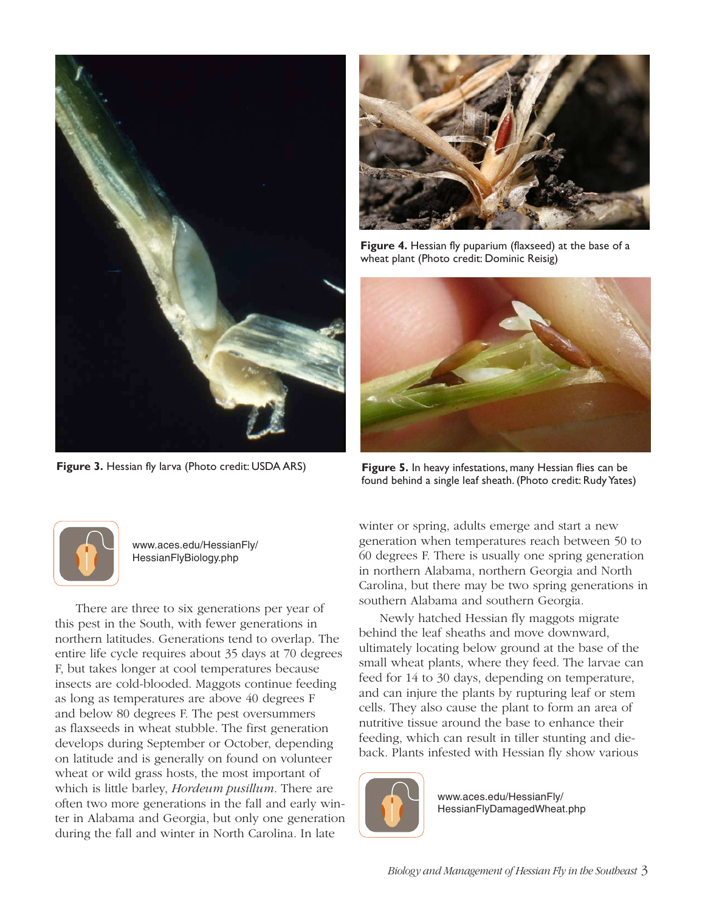

**Figure 3.** Hessian fly larva (Photo credit: USDA ARS)



[www.aces.edu/HessianFly/](www.aces.edu/HessianFly/HessianFlyBiology.php) [HessianFlyBiology.php](www.aces.edu/HessianFly/HessianFlyBiology.php)

There are three to six generations per year of this pest in the South, with fewer generations in northern latitudes. Generations tend to overlap. The entire life cycle requires about 35 days at 70 degrees F, but takes longer at cool temperatures because insects are cold-blooded. Maggots continue feeding as long as temperatures are above 40 degrees F and below 80 degrees F. The pest oversummers as flaxseeds in wheat stubble. The first generation develops during September or October, depending on latitude and is generally on found on volunteer wheat or wild grass hosts, the most important of which is little barley, *Hordeum pusillum*. There are often two more generations in the fall and early winter in Alabama and Georgia, but only one generation during the fall and winter in North Carolina. In late



**Figure 4.** Hessian fly puparium (flaxseed) at the base of a wheat plant (Photo credit: Dominic Reisig)



**Figure 5.** In heavy infestations, many Hessian flies can be found behind a single leaf sheath. (Photo credit: Rudy Yates)

winter or spring, adults emerge and start a new generation when temperatures reach between 50 to 60 degrees F. There is usually one spring generation in northern Alabama, northern Georgia and North Carolina, but there may be two spring generations in southern Alabama and southern Georgia.

Newly hatched Hessian fly maggots migrate behind the leaf sheaths and move downward, ultimately locating below ground at the base of the small wheat plants, where they feed. The larvae can feed for 14 to 30 days, depending on temperature, and can injure the plants by rupturing leaf or stem cells. They also cause the plant to form an area of nutritive tissue around the base to enhance their feeding, which can result in tiller stunting and dieback. Plants infested with Hessian fly show various



[www.aces.edu/HessianFly/](http://www.aces.edu/HessianFly/HessianFlyDamagedWheat.php) [HessianFlyDamagedWheat.php](http://www.aces.edu/HessianFly/HessianFlyDamagedWheat.php)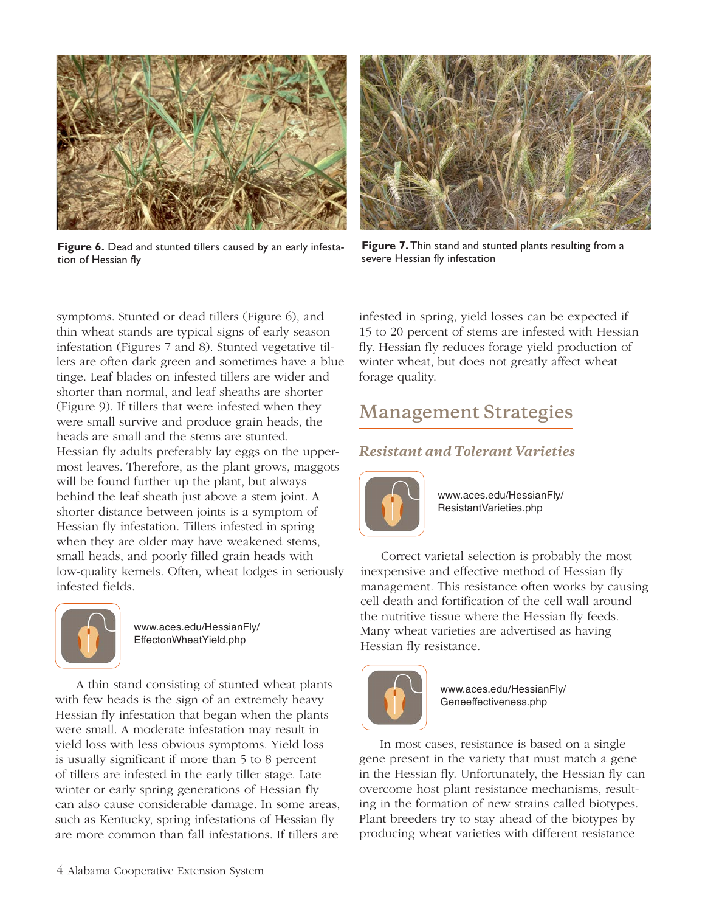

**Figure 6.** Dead and stunted tillers caused by an early infestation of Hessian fly



**Figure 7.** Thin stand and stunted plants resulting from a severe Hessian fly infestation

symptoms. Stunted or dead tillers (Figure 6), and thin wheat stands are typical signs of early season infestation (Figures 7 and 8). Stunted vegetative tillers are often dark green and sometimes have a blue tinge. Leaf blades on infested tillers are wider and shorter than normal, and leaf sheaths are shorter (Figure 9). If tillers that were infested when they were small survive and produce grain heads, the heads are small and the stems are stunted. Hessian fly adults preferably lay eggs on the uppermost leaves. Therefore, as the plant grows, maggots will be found further up the plant, but always behind the leaf sheath just above a stem joint. A shorter distance between joints is a symptom of Hessian fly infestation. Tillers infested in spring when they are older may have weakened stems, small heads, and poorly filled grain heads with low-quality kernels. Often, wheat lodges in seriously infested fields.



[www.aces.edu/HessianFly/](www.aces.edu/HessianFly/EffectonWheatYield.php) [EffectonWheatYield.php](www.aces.edu/HessianFly/EffectonWheatYield.php)

A thin stand consisting of stunted wheat plants with few heads is the sign of an extremely heavy Hessian fly infestation that began when the plants were small. A moderate infestation may result in yield loss with less obvious symptoms. Yield loss is usually significant if more than 5 to 8 percent of tillers are infested in the early tiller stage. Late winter or early spring generations of Hessian fly can also cause considerable damage. In some areas, such as Kentucky, spring infestations of Hessian fly are more common than fall infestations. If tillers are

infested in spring, yield losses can be expected if 15 to 20 percent of stems are infested with Hessian fly. Hessian fly reduces forage yield production of winter wheat, but does not greatly affect wheat forage quality.

## **Management Strategies**

## *Resistant and Tolerant Varieties*



[www.aces.edu/HessianFly/](http://www.aces.edu/HessianFly/ResistantVarieties.php) [ResistantVarieties.php](http://www.aces.edu/HessianFly/ResistantVarieties.php)

Correct varietal selection is probably the most inexpensive and effective method of Hessian fly management. This resistance often works by causing cell death and fortification of the cell wall around the nutritive tissue where the Hessian fly feeds. Many wheat varieties are advertised as having Hessian fly resistance.



[www.aces.edu/HessianFly/](http://www.aces.edu/HessianFly/Geneeffectiveness.php) [Geneeffectiveness.php](http://www.aces.edu/HessianFly/Geneeffectiveness.php)

In most cases, resistance is based on a single gene present in the variety that must match a gene in the Hessian fly. Unfortunately, the Hessian fly can overcome host plant resistance mechanisms, resulting in the formation of new strains called biotypes. Plant breeders try to stay ahead of the biotypes by producing wheat varieties with different resistance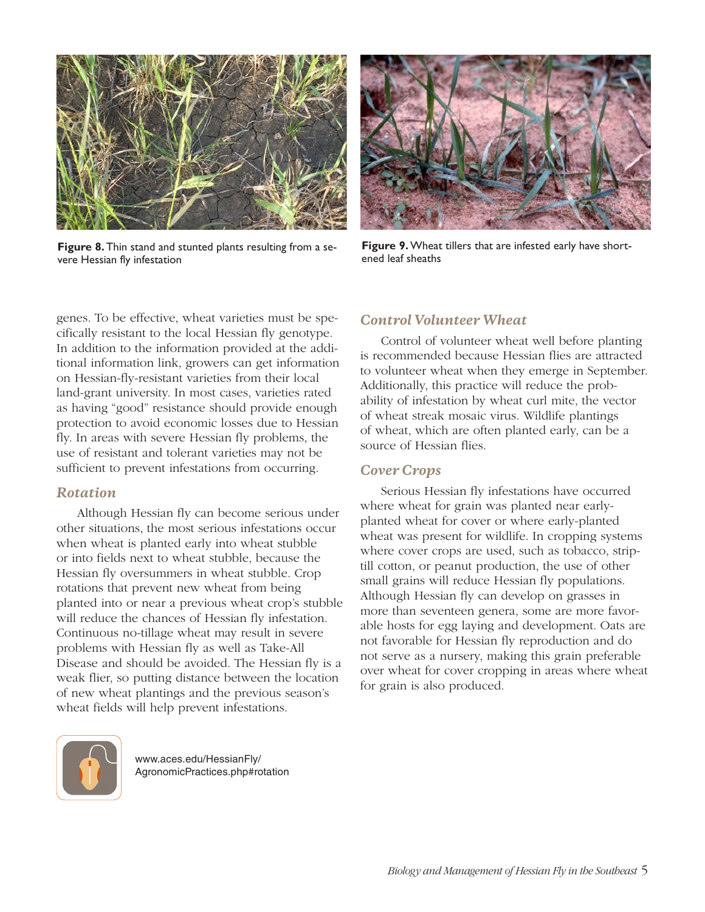

**Figure 8.** Thin stand and stunted plants resulting from a severe Hessian fly infestation



**Figure 9.** Wheat tillers that are infested early have shortened leaf sheaths

genes. To be effective, wheat varieties must be specifically resistant to the local Hessian fly genotype. In addition to the information provided at the additional information link, growers can get information on Hessian-fly-resistant varieties from their local land-grant university. In most cases, varieties rated as having "good" resistance should provide enough protection to avoid economic losses due to Hessian fly. In areas with severe Hessian fly problems, the use of resistant and tolerant varieties may not be sufficient to prevent infestations from occurring.

#### *Rotation*

Although Hessian fly can become serious under other situations, the most serious infestations occur when wheat is planted early into wheat stubble or into fields next to wheat stubble, because the Hessian fly oversummers in wheat stubble. Crop rotations that prevent new wheat from being planted into or near a previous wheat crop's stubble will reduce the chances of Hessian fly infestation. Continuous no-tillage wheat may result in severe problems with Hessian fly as well as Take-All Disease and should be avoided. The Hessian fly is a weak flier, so putting distance between the location of new wheat plantings and the previous season's wheat fields will help prevent infestations.



[www.aces.edu/HessianFly/](http://www.aces.edu/HessianFly/AgronomicPractices.php#rotation) [AgronomicPractices.php#rotation](http://www.aces.edu/HessianFly/AgronomicPractices.php#rotation)

#### *Control Volunteer Wheat*

Control of volunteer wheat well before planting is recommended because Hessian flies are attracted to volunteer wheat when they emerge in September. Additionally, this practice will reduce the probability of infestation by wheat curl mite, the vector of wheat streak mosaic virus. Wildlife plantings of wheat, which are often planted early, can be a source of Hessian flies.

#### *Cover Crops*

Serious Hessian fly infestations have occurred where wheat for grain was planted near earlyplanted wheat for cover or where early-planted wheat was present for wildlife. In cropping systems where cover crops are used, such as tobacco, striptill cotton, or peanut production, the use of other small grains will reduce Hessian fly populations. Although Hessian fly can develop on grasses in more than seventeen genera, some are more favorable hosts for egg laying and development. Oats are not favorable for Hessian fly reproduction and do not serve as a nursery, making this grain preferable over wheat for cover cropping in areas where wheat for grain is also produced.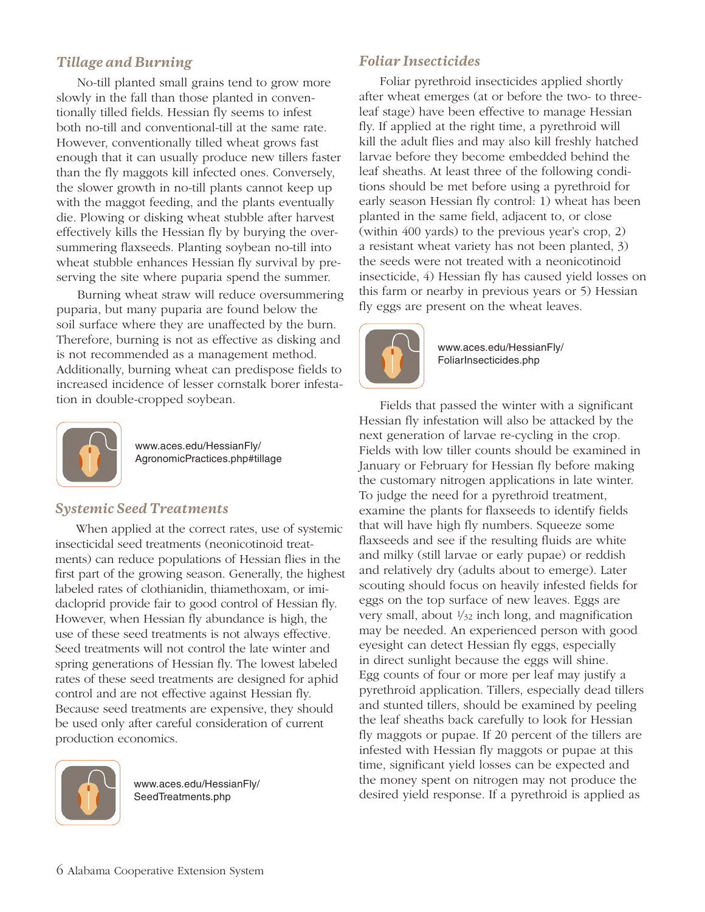### *Tillage and Burning*

No-till planted small grains tend to grow more slowly in the fall than those planted in conventionally tilled fields. Hessian fly seems to infest both no-till and conventional-till at the same rate. However, conventionally tilled wheat grows fast enough that it can usually produce new tillers faster than the fly maggots kill infected ones. Conversely, the slower growth in no-till plants cannot keep up with the maggot feeding, and the plants eventually die. Plowing or disking wheat stubble after harvest effectively kills the Hessian fly by burying the oversummering flaxseeds. Planting soybean no-till into wheat stubble enhances Hessian fly survival by preserving the site where puparia spend the summer.

Burning wheat straw will reduce oversummering puparia, but many puparia are found below the soil surface where they are unaffected by the burn. Therefore, burning is not as effective as disking and is not recommended as a management method. Additionally, burning wheat can predispose fields to increased incidence of lesser cornstalk borer infestation in double-cropped soybean.



[www.aces.edu/HessianFly/](http://www.aces.edu/HessianFly/AgronomicPractices.php#tillage) [AgronomicPractices.php#tillage](http://www.aces.edu/HessianFly/AgronomicPractices.php#tillage)

#### *Systemic Seed Treatments*

When applied at the correct rates, use of systemic insecticidal seed treatments (neonicotinoid treatments) can reduce populations of Hessian flies in the first part of the growing season. Generally, the highest labeled rates of clothianidin, thiamethoxam, or imidacloprid provide fair to good control of Hessian fly. However, when Hessian fly abundance is high, the use of these seed treatments is not always effective. Seed treatments will not control the late winter and spring generations of Hessian fly. The lowest labeled rates of these seed treatments are designed for aphid control and are not effective against Hessian fly. Because seed treatments are expensive, they should be used only after careful consideration of current production economics.



[www.aces.edu/HessianFly/](www.aces.edu/HessianFly/SeedTreatments.php) [SeedTreatments.php](www.aces.edu/HessianFly/SeedTreatments.php)

#### *Foliar Insecticides*

Foliar pyrethroid insecticides applied shortly after wheat emerges (at or before the two- to threeleaf stage) have been effective to manage Hessian fly. If applied at the right time, a pyrethroid will kill the adult flies and may also kill freshly hatched larvae before they become embedded behind the leaf sheaths. At least three of the following conditions should be met before using a pyrethroid for early season Hessian fly control: 1) wheat has been planted in the same field, adjacent to, or close (within 400 yards) to the previous year's crop, 2) a resistant wheat variety has not been planted, 3) the seeds were not treated with a neonicotinoid insecticide, 4) Hessian fly has caused yield losses on this farm or nearby in previous years or 5) Hessian fly eggs are present on the wheat leaves.



[www.aces.edu/HessianFly/](http://www.aces.edu/HessianFly/FoliarInsecticides.php) [FoliarInsecticides.php](http://www.aces.edu/HessianFly/FoliarInsecticides.php)

Fields that passed the winter with a significant Hessian fly infestation will also be attacked by the next generation of larvae re-cycling in the crop. Fields with low tiller counts should be examined in January or February for Hessian fly before making the customary nitrogen applications in late winter. To judge the need for a pyrethroid treatment, examine the plants for flaxseeds to identify fields that will have high fly numbers. Squeeze some flaxseeds and see if the resulting fluids are white and milky (still larvae or early pupae) or reddish and relatively dry (adults about to emerge). Later scouting should focus on heavily infested fields for eggs on the top surface of new leaves. Eggs are very small, about  $\frac{1}{32}$  inch long, and magnification may be needed. An experienced person with good eyesight can detect Hessian fly eggs, especially in direct sunlight because the eggs will shine. Egg counts of four or more per leaf may justify a pyrethroid application. Tillers, especially dead tillers and stunted tillers, should be examined by peeling the leaf sheaths back carefully to look for Hessian fly maggots or pupae. If 20 percent of the tillers are infested with Hessian fly maggots or pupae at this time, significant yield losses can be expected and the money spent on nitrogen may not produce the desired yield response. If a pyrethroid is applied as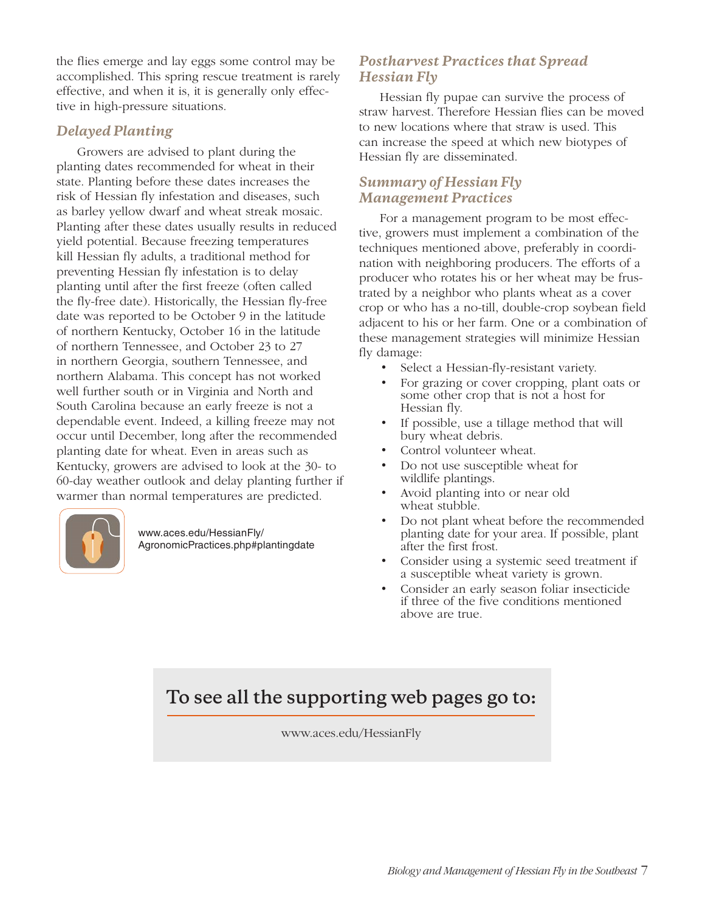the flies emerge and lay eggs some control may be accomplished. This spring rescue treatment is rarely effective, and when it is, it is generally only effective in high-pressure situations.

#### *Delayed Planting*

Growers are advised to plant during the planting dates recommended for wheat in their state. Planting before these dates increases the risk of Hessian fly infestation and diseases, such as barley yellow dwarf and wheat streak mosaic. Planting after these dates usually results in reduced yield potential. Because freezing temperatures kill Hessian fly adults, a traditional method for preventing Hessian fly infestation is to delay planting until after the first freeze (often called the fly-free date). Historically, the Hessian fly-free date was reported to be October 9 in the latitude of northern Kentucky, October 16 in the latitude of northern Tennessee, and October 23 to 27 in northern Georgia, southern Tennessee, and northern Alabama. This concept has not worked well further south or in Virginia and North and South Carolina because an early freeze is not a dependable event. Indeed, a killing freeze may not occur until December, long after the recommended planting date for wheat. Even in areas such as Kentucky, growers are advised to look at the 30- to 60-day weather outlook and delay planting further if warmer than normal temperatures are predicted.



[www.aces.edu/HessianFly/](http://www.aces.edu/HessianFly/AgronomicPractices.php#plantingdate) [AgronomicPractices.php#plantingdate](http://www.aces.edu/HessianFly/AgronomicPractices.php#plantingdate)

### *Postharvest Practices that Spread Hessian Fly*

Hessian fly pupae can survive the process of straw harvest. Therefore Hessian flies can be moved to new locations where that straw is used. This can increase the speed at which new biotypes of Hessian fly are disseminated.

### *Summary of Hessian Fly Management Practices*

For a management program to be most effective, growers must implement a combination of the techniques mentioned above, preferably in coordination with neighboring producers. The efforts of a producer who rotates his or her wheat may be frustrated by a neighbor who plants wheat as a cover crop or who has a no-till, double-crop soybean field adjacent to his or her farm. One or a combination of these management strategies will minimize Hessian fly damage:

- Select a Hessian-fly-resistant variety.
- For grazing or cover cropping, plant oats or some other crop that is not a host for Hessian fly.
- If possible, use a tillage method that will bury wheat debris.
- Control volunteer wheat.
- Do not use susceptible wheat for wildlife plantings.
- Avoid planting into or near old wheat stubble.
- Do not plant wheat before the recommended planting date for your area. If possible, plant after the first frost.
- Consider using a systemic seed treatment if a susceptible wheat variety is grown.
- Consider an early season foliar insecticide if three of the five conditions mentioned above are true.

## **To see all the supporting web pages go to:**

[www.aces.edu/HessianFly](http://www.aces.edu/HessianFly)